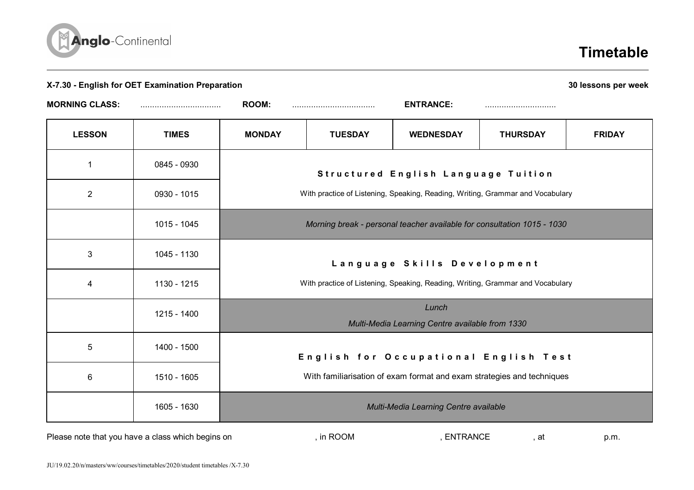

## **Timetable**

| X-7.30 - English for OET Examination Preparation  |              |                                                                                |                |                             |                                                                                | 30 lessons per week |
|---------------------------------------------------|--------------|--------------------------------------------------------------------------------|----------------|-----------------------------|--------------------------------------------------------------------------------|---------------------|
| <b>MORNING CLASS:</b>                             |              | <b>ROOM:</b>                                                                   |                | <b>ENTRANCE:</b>            |                                                                                |                     |
| <b>LESSON</b>                                     | <b>TIMES</b> | <b>MONDAY</b>                                                                  | <b>TUESDAY</b> | <b>WEDNESDAY</b>            | <b>THURSDAY</b>                                                                | <b>FRIDAY</b>       |
| 1                                                 | 0845 - 0930  | Structured English Language Tuition                                            |                |                             |                                                                                |                     |
| $\overline{2}$                                    | 0930 - 1015  | With practice of Listening, Speaking, Reading, Writing, Grammar and Vocabulary |                |                             |                                                                                |                     |
|                                                   | 1015 - 1045  | Morning break - personal teacher available for consultation 1015 - 1030        |                |                             |                                                                                |                     |
| 3                                                 | 1045 - 1130  |                                                                                |                | Language Skills Development |                                                                                |                     |
| $\overline{\mathcal{A}}$                          | 1130 - 1215  |                                                                                |                |                             | With practice of Listening, Speaking, Reading, Writing, Grammar and Vocabulary |                     |
|                                                   | 1215 - 1400  | Lunch<br>Multi-Media Learning Centre available from 1330                       |                |                             |                                                                                |                     |
| 5                                                 | 1400 - 1500  |                                                                                |                |                             | English for Occupational English Test                                          |                     |
| 6                                                 | 1510 - 1605  |                                                                                |                |                             | With familiarisation of exam format and exam strategies and techniques         |                     |
|                                                   | 1605 - 1630  | Multi-Media Learning Centre available                                          |                |                             |                                                                                |                     |
| Please note that you have a class which begins on |              |                                                                                | , in ROOM      | , ENTRANCE                  | , at                                                                           | p.m.                |